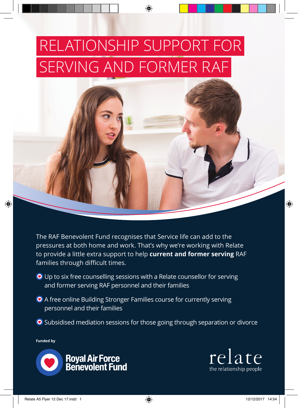# RELATIONSHIP SUPPORT FOR SERVING AND FORMER RAF



The RAF Benevolent Fund recognises that Service life can add to the pressures at both home and work. That's why we're working with Relate to provide a little extra support to help **current and former serving** RAF families through difficult times.

- **•** Up to six free counselling sessions with a Relate counsellor for serving and former serving RAF personnel and their families
- **O** A free online Building Stronger Families course for currently serving personnel and their families
- **•** Subsidised mediation sessions for those going through separation or divorce

**Funded by**